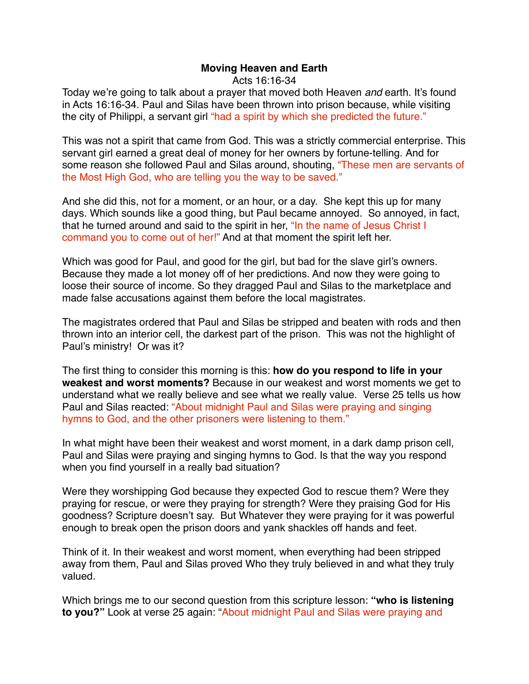## **Moving Heaven and Earth**

Acts 16:16-34

Today we're going to talk about a prayer that moved both Heaven *and* earth. It's found in Acts 16:16-34. Paul and Silas have been thrown into prison because, while visiting the city of Philippi, a servant girl "had a spirit by which she predicted the future."

This was not a spirit that came from God. This was a strictly commercial enterprise. This servant girl earned a great deal of money for her owners by fortune-telling. And for some reason she followed Paul and Silas around, shouting, "These men are servants of the Most High God, who are telling you the way to be saved."

And she did this, not for a moment, or an hour, or a day. She kept this up for many days. Which sounds like a good thing, but Paul became annoyed. So annoyed, in fact, that he turned around and said to the spirit in her, "In the name of Jesus Christ I command you to come out of her!" And at that moment the spirit left her.

Which was good for Paul, and good for the girl, but bad for the slave girl's owners. Because they made a lot money off of her predictions. And now they were going to loose their source of income. So they dragged Paul and Silas to the marketplace and made false accusations against them before the local magistrates.

The magistrates ordered that Paul and Silas be stripped and beaten with rods and then thrown into an interior cell, the darkest part of the prison. This was not the highlight of Paul's ministry! Or was it?

The first thing to consider this morning is this: **how do you respond to life in your weakest and worst moments?** Because in our weakest and worst moments we get to understand what we really believe and see what we really value. Verse 25 tells us how Paul and Silas reacted: "About midnight Paul and Silas were praying and singing hymns to God, and the other prisoners were listening to them."

In what might have been their weakest and worst moment, in a dark damp prison cell, Paul and Silas were praying and singing hymns to God. Is that the way you respond when you find yourself in a really bad situation?

Were they worshipping God because they expected God to rescue them? Were they praying for rescue, or were they praying for strength? Were they praising God for His goodness? Scripture doesn't say. But Whatever they were praying for it was powerful enough to break open the prison doors and yank shackles off hands and feet.

Think of it. In their weakest and worst moment, when everything had been stripped away from them, Paul and Silas proved Who they truly believed in and what they truly valued.

Which brings me to our second question from this scripture lesson: **"who is listening to you?"** Look at verse 25 again: "About midnight Paul and Silas were praying and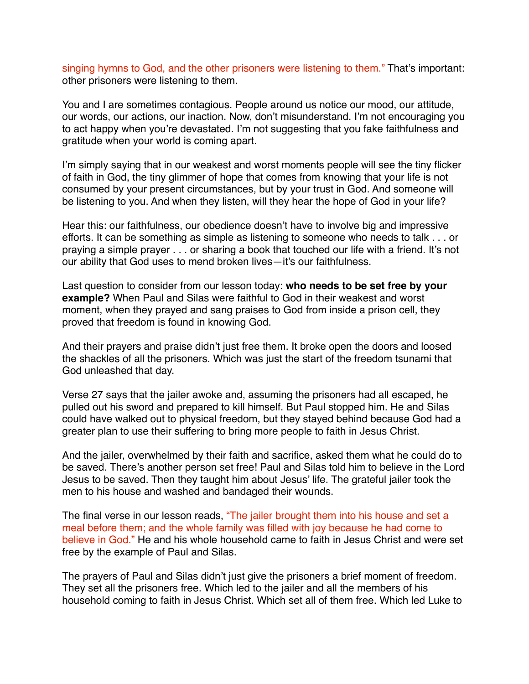singing hymns to God, and the other prisoners were listening to them." That's important: other prisoners were listening to them.

You and I are sometimes contagious. People around us notice our mood, our attitude, our words, our actions, our inaction. Now, don't misunderstand. I'm not encouraging you to act happy when you're devastated. I'm not suggesting that you fake faithfulness and gratitude when your world is coming apart.

I'm simply saying that in our weakest and worst moments people will see the tiny flicker of faith in God, the tiny glimmer of hope that comes from knowing that your life is not consumed by your present circumstances, but by your trust in God. And someone will be listening to you. And when they listen, will they hear the hope of God in your life?

Hear this: our faithfulness, our obedience doesn't have to involve big and impressive efforts. It can be something as simple as listening to someone who needs to talk . . . or praying a simple prayer . . . or sharing a book that touched our life with a friend. It's not our ability that God uses to mend broken lives—it's our faithfulness.

Last question to consider from our lesson today: **who needs to be set free by your example?** When Paul and Silas were faithful to God in their weakest and worst moment, when they prayed and sang praises to God from inside a prison cell, they proved that freedom is found in knowing God.

And their prayers and praise didn't just free them. It broke open the doors and loosed the shackles of all the prisoners. Which was just the start of the freedom tsunami that God unleashed that day.

Verse 27 says that the jailer awoke and, assuming the prisoners had all escaped, he pulled out his sword and prepared to kill himself. But Paul stopped him. He and Silas could have walked out to physical freedom, but they stayed behind because God had a greater plan to use their suffering to bring more people to faith in Jesus Christ.

And the jailer, overwhelmed by their faith and sacrifice, asked them what he could do to be saved. There's another person set free! Paul and Silas told him to believe in the Lord Jesus to be saved. Then they taught him about Jesus' life. The grateful jailer took the men to his house and washed and bandaged their wounds.

The final verse in our lesson reads, "The jailer brought them into his house and set a meal before them; and the whole family was filled with joy because he had come to believe in God." He and his whole household came to faith in Jesus Christ and were set free by the example of Paul and Silas.

The prayers of Paul and Silas didn't just give the prisoners a brief moment of freedom. They set all the prisoners free. Which led to the jailer and all the members of his household coming to faith in Jesus Christ. Which set all of them free. Which led Luke to